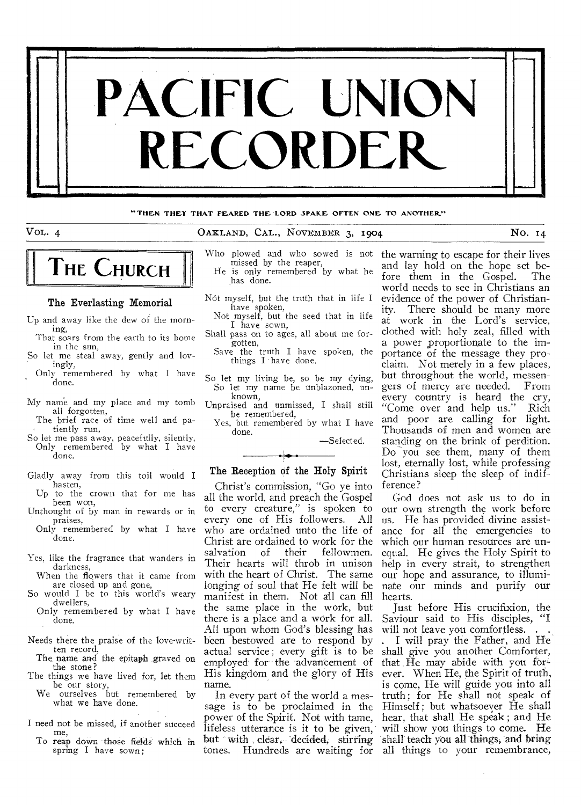

#### **"THEN THET THAT FEARED THE LORD SPAKE OFTEN ONE TO ANOTHER"**

## VOL. 4 0AKLAND, CAL., NOVEMBER 3, 1904 NO. 14

# **THE CHURCH**

#### The Everlasting Memorial

- Up and away like the dew of the morning,
- That soars from the earth to its home in the sun,
- So let me steal away, gently and lovingly,
- Only remembered by what I have done.
- My name and my place and my tomb all forgotten,
- The brief race of time well and patiently run,
- So let me pass away, peacefully, silently, Only remembered by what I have done.
- Gladly away from this toil would I hasten,
- Up to the crown that for me has been won, Unthought of by man in rewards or in
- praises, Only remembered by what I have
- done.
- Yes, like the fragrance that wanders in darkness,
- When the flowers that it came from are closed up and gone,
- So would I be to this world's weary dwellers,
- Only remembered by what I have done.
- Needs there the praise of the love-written record,
	- The name and the epitaph graved on the stone?
- The things we have lived for, let them be our story, We ourselves but remembered by
	- what we have done.
- I need not be missed, if another succeed me,
	- To reap down those fields which in spring I have sown;
- Who plowed and who sowed is not missed by the reaper, He is only remembered by what he has done.
- Not myself, but the truth that in life I
	- have spoken, Not myself, but the seed that in life I have sown,
- Shall pass on to ages, all about me forgotten,

Save the truth I have spoken, the things I' have done.

- So let my living be, so be my dying, So let my name be unblazoned, unknown,
- Unpraised and unmissed, I shall still be remembered,
	- Yes, but remembered by what I have done.

—Selected.

## The Reception of the Holy Spirit

Christ's commission, "Go ye into all the world, and preach the Gospel to every creature," is spoken to every one of His followers. All who are ordained unto the life of Christ are ordained to work for the<br>salvation of their fellowmen. salvation of their Their hearts will throb in unison with the heart of Christ. The same longing of soul that He felt will be manifest in them. Not all can fill the same place in the work, but there is a place and a work for all. All upon whom God's blessing has been bestowed are to respond by actual service; every gift is to be employed' for the advancement of His kingdom and the glory of His name.

In every part of the world a mestones. Hundreds are waiting for all things to your remembrance,

the warning to escape for their lives and lay hold on the hope set before them in the Gospel. world needs to see in Christians an evidence of the power of Christianity. There should be many more at work in the Lord's service, clothed with holy zeal, filled with a power proportionate to the importance of the message they proclaim. Not merely in a few places, but throughout the world, messengers of mercy are needed. From every country is heard the cry, "Come over and help us." Rich and poor are calling for light. Thousands of men and women are standing on the brink of perdition. Do you see them, many of them lost, eternally lost, while professing Christians sleep the sleep of indifference?

God does not ask us to do in our own strength the work before us. He has provided divine assistance for all the emergencies to which our human resources are unequal. He gives the Holy Spirit to help in every strait, to strengthen our hope and assurance, to illuminate our minds and purify our hearts.

Just before His crucifixion, the Saviour said to His disciples, "I will not leave you comfortless. .

sage is to be proclaimed in the Himself ; but whatsoever He shall power of the Spirit. Not with tame, hear, that shall He speak ; and He lifeless utterance is it to be given, will show you things to come. He but with clear, decided, stirring shall teach you all things, and bring . I will pray the Father, and He shall give you another Comforter, that He may abide with you forever. When He, the Spirit of truth, is come, He will guide you into all truth; for He shall not speak of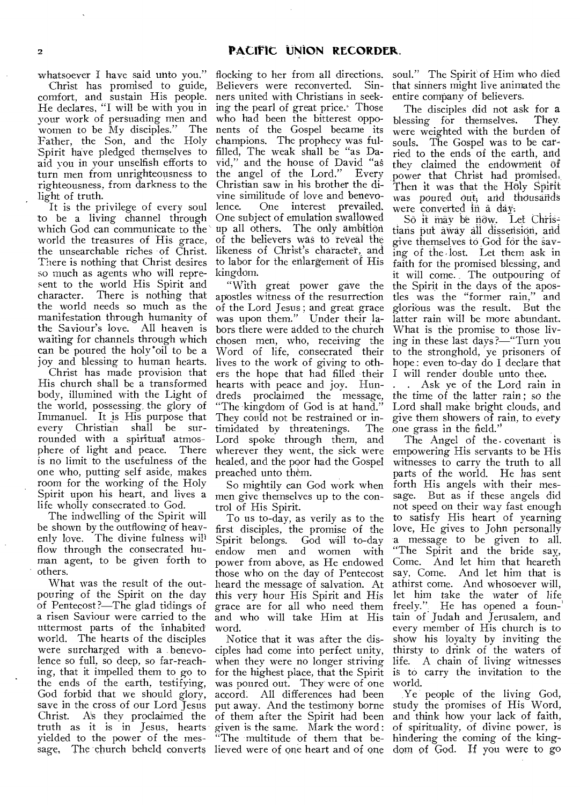whatsoever I have said unto you."

Christ has promised to guide, comfort, and sustain His people. He declares, "I will be with you in your work of persuading men and women to be My disciples." The Father, the Son, and the Holy Spirit have pledged themselves to aid you in your unselfish efforts to turn men from unrighteousness to righteousness, from darkness to the light of truth.

It is the privilege of every soul to be a living channel through which God can communicate to the world the treasures of His grace, the unsearchable riches of Christ. There is nothing that Christ desires so much as agents who will represent to the world His Spirit and character. There is nothing that character. There is nothing that<br>the world needs so much as the manifestation through humanity of the Saviour's love. All heaven is waiting for channels through which can be poured the holy "oil to be a joy and blessing to human hearts.

Christ has made provision that His church shall be a transformed body, illumined with the Light of the world, possessing, the glory of Immanuel. It is His purpose that<br>every Christian shall be sur-Christian shall be surrounded with a spiritual atmos-<br>phere of light and peace. There phere of light and peace. is no limit to the usefulness of the one who, putting self aside, makes room for the working of the Holy Spirit upon his heart, and lives a life wholly consecrated to God.

The indwelling of the Spirit will be shown by the outflowing of heavenly love. The divine fulness will flow through the consecrated human agent, to be given forth to others.

What was the result of the outpouring of the Spirit on the day of Pentecost ?—The glad tidings of a risen Saviour were carried to the uttermost parts of the inhabited world. The hearts of the disciples were surcharged with a benevolence so full, so deep, so far-reaching, that it impelled them to go to the ends of the earth, testifying, God forbid that we should glory, save in the cross of our Lord Jesus<br>Christ. As they proclaimed the As they proclaimed the truth as it is in Jesus, hearts yielded to the power of the mes-

flocking to her from all directions. soul." The Spirit' of Him who died Believers were reconverted. Sinners united with Christians in seeking the pearl of great price. Those who had been the bitterest opponents of the Gospel became its champions. The prophecy was fulfilled, The weak shall be "as David," and the house of David "as the angel of the Lord." Christian saw in his brother the divine similitude of love and benevo-<br>lence. One interest prevailed. One interest prevailed. One subject of emulation swallowed up all others. The only ambition of the believers was to reveal the likeness of Christ's character, and to labor for the enlargement of His kingdom.

"With great power gave the apostles witness of the resurrection of the Lord Jesus ; and great grace was upon them." Under their labors there were added to the church chosen men, who, receiving the Word of life, consecrated their lives to the work of giving to others the hope that had filled their hearts with peace and joy. Hundreds proclaimed the message, "The kingdom of God is at hand." They could not be restrained or in-<br>timidated by threatenings. The timidated by threatenings. Lord spoke through them, and wherever they went, the sick were healed, and the poor had the Gospel preached unto them.

So mightily can God work when men give themselves up to the control of His Spirit.

To us to-day, as verily as to the first disciples, the promise of the Spirit belongs. God will to-day endow men and women with power from above, as He endowed those who on the day of Pentecost heard the message of salvation. At this very hour His Spirit and *His*  grace are for all who need them and who will take Him at His word.

Notice that it was after the disciples had come into perfect unity, when they were no longer striving life. A chain of living witnesses for the highest place, that the Spirit is to carry the invitation to the was poured out. They were of one accord. All differences had been put away. And the testimony borne study the promises of His Word, of them after the Spirit had been given is the same. Mark the word : "The multitude of them that be-

that sinners might live animated the entire company of believers.

The disciples did not ask for a blessing for themselves. They. were weighted with the burden of souls. The Gospel was to be carried to the ends of the earth, and they claimed the endowment of power that Christ had promised:, Then it was that the Holy Spirit was poured out, and thousands were converted in a day.

So it may be now. Let Christians put away all dissension, and give themselves to God for the saying of the lost. Let them ask in faith for the promised blessing, and it will come. The outpouring of the Spirit in the days of the apostles was the "former rain," and glorious was the result. But the latter rain will be more abundant. What is the promise to those living in these last days ?—"Turn you to the stronghold, ye prisoners of hope: even to-day do I declare that I will render double unto thee.

. Ask ye of the Lord rain in the time of the latter rain ; *so* the Lord shall make bright clouds, and give them showers of rain, to every one grass in the field.''

The Angel of the. covenant is empowering His servants to be His witnesses to carry the truth to all parts of the world. He has sent forth His angels with their message. But as if these angels did not speed on their way fast enough to satisfy His heart of yearning love, He gives to John personally a message to be given to all. "The Spirit and the bride say, Come. And let him that heareth say, Come. And let him that is athirst come. And whosoever will, let him take the water of life, freely." He has opened a foun-' tain of Judah and Jerusalem, and every member of His church is to show his loyalty by inviting the thirsty to drink of the waters of world.

sage. The church beheld converts lieved were of one heart and of one dom of God. If you were to go Ye people of the living God, and think how your lack of faith, of spirituality, of divine power, is hindering the coming of the king-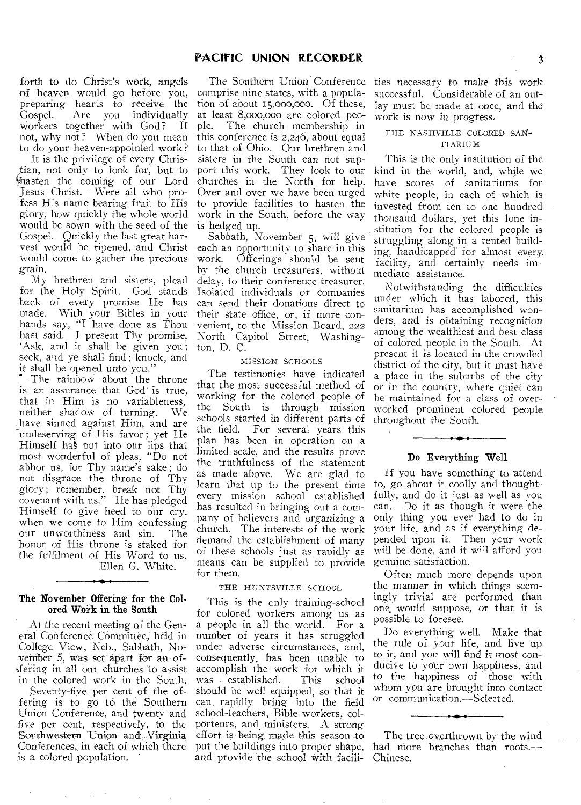forth to do Christ's work, angels of heaven would go before you, preparing hearts to receive the<br>Gospel. Are you individually Are you individually<br>ogether with God? If workers together with God? not, why not ? When do you mean to do your heaven-appointed work?

It is the privilege of every Christian, not only to look for, but to Masten the coming of our Lord Jesus Christ. Were all who profess His name bearing fruit to His glory, how quickly the whole world would be sown with the seed of the Gospel. Quickly the last great harvest would be ripened, and Christ would come to gather the precious grain.

My brethren and sisters, plead for the Holy Spirit. God stands back of every promise He has made. With your Bibles in your hands say, "I have done as Thou hast said. I present Thy promise, `Ask, and it shall be given you ; seek, and ye shall find ; knock, and it shall be opened unto you.'

The rainbow about the throne is an assurance that God is true, that in Him is no variableness, neither shadow of turning. We have sinned against Him, and are undeserving of His favor; yet He Himself ha§ put into our lips that most wonderful of pleas, "Do not abhor us, for Thy name's sake ; do not disgrace the throne of Thy glory; remember, break not Thy covenant with us." He has pledged Himself to give heed to our cry, when we come to Him confessing<br>our unworthiness and sin. The our unworthiness and sin. honor of His throne is staked for the fulfilment of His Word to us. Ellen G. White.

#### The November Offering for the Colored Work in the South

At the recent meeting of the General Conference Committee, held in College View, Neb., Sabbath, November 5, was set apart for an of- &ring in all our churches to assist in the colored work in the South.

Seventy-five per cent of the offering is to go to the Southern Union Conference, and twenty and five per cent, respectively, to the Southwestern Union and. Virginia Conferences, in each of which there is a colored population.

The Southern Union Conference comprise nine states, with a population of about 15,000,000. Of these, at least 8,000,000 are colored peo-<br>ple. The church membership in The church membership in this conference is 2,246, about equal to that of Ohio. Our brethren and sisters in the South can not support this work. They look to our churches in the North for help. Over and over we have been urged to provide facilities to hasten the work in the South, before the way is hedged up.

Sabbath, November 5, will give each an opportunity to share in this work. Offerings should be sent by the church treasurers, without delay, to their conference treasurer. Isolated individuals or companies can send their donations direct to their state office, or, if more convenient, to the Mission Board, 222 North Capitol Street, Washington, D. C.

#### MISSION SCHOOLS

The testimonies have indicated that the most *successful* method of working for the colored people of the South is through mission schools started in different parts of the field. For several years this plan has been in operation on a limited scale, and the results prove the truthfulness of the statement as made above. We are glad to learn that up to the present time every mission school established has resulted in bringing out a company of believers and organizing a church. The interests of the work demand the establishment of many of these schools just as rapidly as means can be supplied to provide for them.

#### THE HUNTSVILLE SCHOOL

This is the only training-school for colored workers among us as a people in all the world. For a number of years it has struggled under adverse circumstances, and, consequently, has been unable to accomplish the work for which it was established. should be well equipped, so that it can rapidly bring into the field school-teachers, Bible workers, colporteurs, and ministers. A strong effort is being made this season to put the buildings into proper shape, and provide the school with facilities necessary to make this work successful. Considerable of an outlay must be made at once, and the work is now in progress,

## THE NASHVILLE COLORED SAN-ITARIUM

This is the only institution of the kind in the world, and, while we have scores of sanitariums for white people, in each of which is invested from ten to one hundred thousand dollars, yet this lone institution for the colored people is struggling along in a rented building, handicapped' for almost every. facility, and certainly needs immediate assistance.

Notwithstanding the difficulties under which it has labored, this sanitarium has accomplished wonders, and is obtaining recognition among the wealthiest and best class of colored people in the South. At present it is located in the crowded district of the city, but it must have a place in the suburbs of the city or in the country, where quiet can be maintained for a class of overworked prominent colored people throughout the South.

## Do Everything Well

If you have something to attend to, go about it coolly and thoughtfully, and do it just as well as you can. Do it as though it were the only thing you ever had to do in your life, and as if everything depended upon it. Then your work will be done, and it will afford you genuine satisfaction.

Often much more depends upon the manner in which things seemingly trivial are performed than one, would suppose, or that it is possible to foresee.

Do everything well. Make that the rule of your life, and live up to it, and you will find it most conducive to your own happiness, and to the happiness of those with whom you are brought into contact or communication.—Selected.

The tree overthrown by the wind had more branches than roots.— Chinese.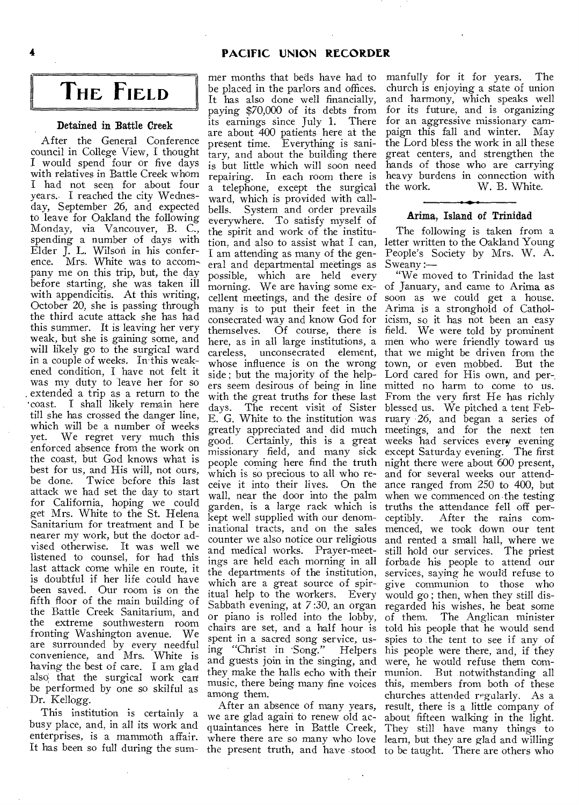## **4 PACIFIC UNION RECORDER**

## **THE FIELD**

#### **Detained in Battle Creek**

After the General Conference council in College View, I thought I would spend four or five days with relatives in Battle Creek whom I had not seen for about four years. I reached the city Wednesday, September 26, and expected to leave for Oakland the following Monday, via Vancouver, B. C., spending a number of days with Elder J. L. Wilson in his conference. Mrs. White was to accompany me on this trip, but, the day before starting, she was taken ill with appendicitis. At this writing, October 20, she is passing through the third acute attack she has had this summer. It is leaving her very weak, but she is gaining some, and will likely go to the surgical ward in a couple of weeks. In this weakened condition, I have not felt it was my duty to leave her for so . extended a trip as a return to the •coast. I shall likely remain here till she has crossed the danger line, which will be a number of weeks<br>yet. We regret very much this We regret very much this enforced absence from the work on the coast, but God knows what is best for us, and His will, not ours, be done. Twice before this last attack we had set the day to start for California, hoping we could get Mrs. White to the St. Helena Sanitarium for treatment and I be nearer my work, but the doctor advised otherwise. It was well we listened to counsel, for had this last attack come while en route, it is doubtful if her life could have been saved. Our room is on the fifth floor of the main building of the Battle Creek Sanitarium, and the extreme southwestern room fronting Washington avenue. We are surrounded by every needful convenience, and Mrs. White is having the best of care. I am glad also that the surgical work can be performed by one so skilful as Dr. Kellogg.

This institution is certainly a busy place, and, in all its work and enterprises, is a mammoth affair. It has been so full during the sum-

mer months that beds have had to be placed in the parlors and offices. It has also done well financially, paying \$70,000 of its debts from its earnings since July 1. There are about 400 patients here at the present time. Everything is sanitary, and about the building there is but little which will soon need repairing. In each room there is a telephone, except the surgical ward, which is provided with callbells. System and order prevails everywhere. To satisfy myself of the spirit and work of the institution, and also to assist what I can, I am attending as many of the general and departmental meetings as possible, which are held every morning. We are having some excellent meetings, and the desire of many is to put their feet in the consecrated way and know God for themselves. Of course, there is days. The recent visit of Sister blessed us. We pitched a tent Febwhich is so precious to all who regarden, is a large rack which is truths the attendance fell off perkept well supplied with our denomand medical works. Prayer-meetwhich are a great source of spiritual help to the workers. Every Sabbath evening, at 7:30, an organ or piano is rolled into the lobby, chairs are set, and a half hour is spent in a sacred song service, using "Christ in Song." Helpers and guests join in the singing, and they make the halls echo with their music, there being many fine voices among them.

After an absence of many years, we are glad again to renew old acquaintances here in Battle Creek,

manfully for it for years. The church is enjoying a state of union and harmony, which speaks well for its future, and is organizing for an aggressive missionary campaign this fall and winter. May the Lord bless the work in all these great centers, and strengthen the hands of those who are carrying heavy burdens in connection with<br>the work. W. B. White. W. B. White.

## **Arima, Island of Trinidad**

The following is taken from a letter written to the Oakland Young People's Society by Mrs. W. A. Sweany:-

here, as in all large institutions, a men who were friendly toward us careless, unconsecrated element, that we might be driven from the whose influence is on the wrong town, or even mobbed. But the side ; but the majority of the help-Lord cared for His own, and per-. ers seem desirous of being in line mitted no harm to come to us. with the great truths for these last From the very first He has richly E. G. White to the institution was ruary 26, and began a series of greatly appreciated and did much meetings, and for the next ten good. Certainly, this is a great weeks had services every evening missionary field, and many sick except Saturday evening. The first people coming here find the truth night there were about 600 present, ceive it into their lives. On the ance ranged from 250 to 400, but wall, near the door into the palm when we commenced on the testing inational tracts, and on the sales menced, we took down our tent counter we also notice our religious and rented a small hall, where we ings are held each morning in all forbade his people to attend our the departments of the institution, services, saying he would refuse to where there are so many who love learn, but they are glad and willing the present truth, and have stood to be taught. There are others who "We moved to Trinidad the last of January, and came to Arima as soon as we could get a house. Arima is a stronghold of Catholicism, so it has not been an easy field. We were told by prominent and for several weeks our attendceptibly. After the rains comstill hold our services. The priest give communion to those who would go ; then, when they still disregarded his wishes, he beat some of them. The Anglican minister told his people that he would send spies to the tent to see if any of his people were there, and, if they were, he would refuse them communion. But notwithstanding all this, members from both of these churches attended regularly. As a result, there is a little company of about fifteen walking in the light. They still have many things to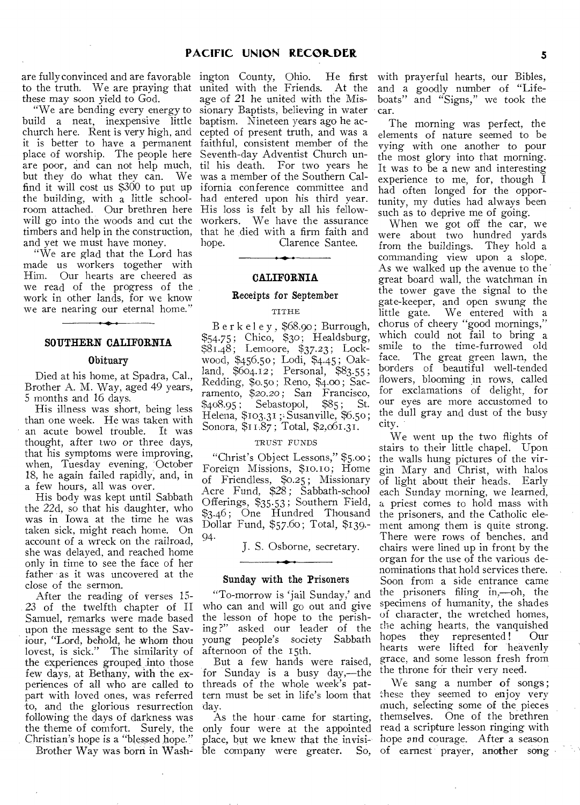are fully convinced and are favorable ington County, Ohio. He first to the truth. We are praying that united with the Friends. At the these may soon yield to God.

build a neat, inexpensive little baptism. Nineteen years ago he acchurch here. Rent is very high, and cepted of present truth, and was a it is better to have a permanent faithful, consistent member of the place of worship. The people here Seventh-day Adventist Church unare poor, and can not help much, til his death. For two years he but they do what they can. We was a member of the Southern Calfind it will cost us \$300 to put up the building, with a little schoolroom attached. Our brethren here will go into the woods and cut the timbers and help in the construction, and yet we must have money.

"We are glad that the Lord has made us workers together with Him. Our hearts are cheered as we read of the progress of the work in other lands, for we know we are nearing our eternal home."

#### **SOUTHERN CALIFORNIA**

#### **Obituary**

Died at his home, at Spadra, Cal., Brother A. M. Way, aged 49 years, 5 months and 16 days.

His illness was short, being less than one week. He was taken with an acute bowel trouble. It was thought, after two or three days, that his symptoms were improving, when, Tuesday evening, October 18, he again failed rapidly, and, in a few hours, all was over.

His body was kept until Sabbath the 22d, so that his daughter, who was in Iowa at the time he was taken sick, might reach home. On account of a wreck on the railroad, she was delayed, and reached home only in time to see the face of her father as it was uncovered at the close of the sermon.

After the reading of verses 15- 23 of the twelfth chapter of II Samuel, remarks were made based upon the message sent to the Saviour, "Lord, behold, he Whom thou lovest, is sick." The similarity of the experiences grouped into those few days, at Bethany, with the experiences of all who are called to part with loved ones, was referred to, and the glorious resurrection following the days of darkness was the theme of comfort. Surely, the Christian's hope is a "blessed hope."

Brother Way was born in Wash-

"We are bending every energy to sionary Baptists, believing in water age of 21 he united with the Misifornia conference committee and had entered upon his third year. His loss is felt by all his fellowworkers. We have the assurance that he died with a firm faith and Clarence Santee.

#### **CALIFORNIA**

#### **Receipts for September**

#### TITHE

Berkeley, \$68.90; Burrough, \$54.75; Chico, \$30; Healdsburg, \$81.48 ; Lemoore, \$37.23 ; Lockwood, \$456.50 ; Lodi, \$4.45 ; Oakland, \$604.12 ; Personal, \$83.55; Redding, \$0.50 ; Reno, \$4.00 ; Sacramento, \$20.20 ; San Francisco, \$408.95; Sebastopol, \$85; St. Helena, \$103.31 Susanville, \$6.5o; Sonora, \$11.87 ; Total, \$2,061.31.

## TRUST FUNDS

"Christ's Object Lessons," \$5.00; Foreign Missions, \$10.10; Home of Friendless, \$0.25 ; Missionary Acre Fund, \$28 ; Sabbath-school Offerings, \$35.53; Southern Field, \$3.46 ; One Hundred Thousand Dollar Fund, \$57.60; Total, \$139.- 94-

J. S. Osborne, secretary.

#### **Sunday with the Prisoners**

"To-morrow is 'jail Sunday,' and who can and will go out and give the lesson of hope to the perishing?" asked our leader of the young people's society Sabbath afternoon of the 15th.

But a few hands were raised, for Sunday is a busy day,—the threads of the whole week's patday.

As the hour came for starting, only four were at the appointed place, but we knew that the invisible company were greater. So,

with prayerful hearts, our Bibles, and a goodly number of "Lifeboats" and "Signs," we took the car.

The morning was perfect, the elements of nature seemed to be vying with one another to pour the most glory into that morning. It was to be a new and interesting experience to me, for, though I had often longed for the opportunity, my duties had always been such as to deprive me of going.

When we got off the car, we were about two hundred yards from the buildings. They hold a commanding view upon a slope. As we walked up the avenue to the great board wall, the watchman in the tower gave the signal to the gate-keeper, and open swung the little gate. We entered with a chorus of cheery "good mornings," which could not fail to bring a smile to the time-furrowed old face. The great green lawn, the The great green lawn, the borders of beautiful well-tended flowers, blooming in rows, called for exclamations of delight, for our eyes are more accustomed to the dull gray and dust of the busy city.

We went up the two flights of stairs to their little chapel. Upon the walls hung pictures of the virgin Mary and Christ, with halos of light about their heads. Early each Sunday morning, we learned, a priest comes to hold mass with the prisoners, and the Catholic element among them is quite strong. There were rows of benches, and chairs were lined up in front by the organ for the use of the various denominations that hold services there. Soon from a side entrance came the prisoners filing in,—oh, the specimens of humanity, the shades of character, the wretched homes, the aching hearts, the vanquished hopes they represented! Our hearts were lifted for heavenly grace, and some lesson fresh from the throne for their very need.

tern must be set in life's loom that these they seemed to enjoy very We sang a number of songs; much, selecting some of the pieces themselves. One of the brethren read a scripture lesson ringing with hope and courage. After a season of earnest prayer, another song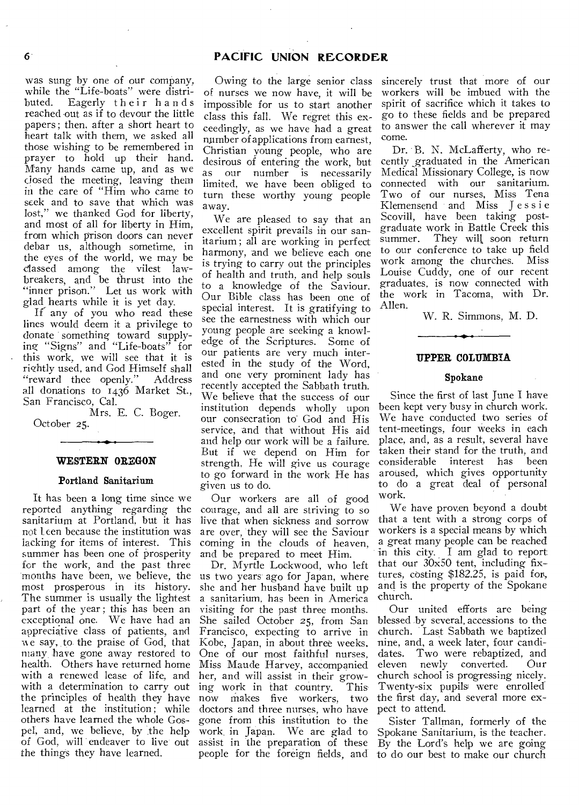was sung by one of our company, while the "Life-boats" were distributed. Eagerly their hands reached out as if to devour the little papers ; then, after a short heart to heart talk with them, we asked all those wishing to be remembered in prayer to hold up their hand. Many hands came up, and as we dosed the meeting, leaving them in the care of "Him who came to seek and to save that which was lost," we thanked God for liberty, and most of all for liberty in Him, from which prison doors can never debar us, although sometime, in the eyes of the world, we may be classed among the vilest lawbreakers, and be thrust into the "inner prison." Let us work with glad hearts while it is yet day.

If any of you who read these lines would deem it a privilege to donate something toward supplying "Signs" and "Life-boats" for this work, we will see that it is rightly used, and God Himself shall "reward thee openly." Address all donations to 1436 Market St., San Francisco, Cal.

Mrs. E. C. Boger. October 25.

#### **WESTERN OREGON**

#### Portland Sanitarium

It has been a long time since we reported anything regarding the sanitarium at Portland, but it has not leen because the institution was lacking for items of interest. This summer has been one of prosperity for the work, and the past three months have been, we believe, the most prosperous in its history. The summer is usually the lightest part of the year; this has been an exceptional one. We have had an appreciative class of patients, and e say, to the praise of God, that ninny have gone away restored to health. Others have returned home with a renewed lease of life, and with a determination to carry out the principles of health they have learned at the institution; while others have learned the whole Gospel, and, we believe, by the help of God, will endeaver to live out the things they have learned.

Owing to the large senior class of nurses we now have, it will be impossible for us to start another class this fall. We regret this exceedingly, as we have had a great number of applications from earnest, Christian young people, who are desirous of entering the work, but as our number is necessarily limited, we have been obliged to turn these worthy young people away.

We are pleased to say that an excellent spirit prevails in our sanitarium; all are working in perfect harmony, and we believe each one is trying to carry out the principles of health and truth, and help souls to a knowledge of the Saviour. Our Bible class has been one of special interest. It is gratifying to see the earnestness with which our young people are seeking a knowledge of the Scriptures. Some of our patients are very much interested in the study of the Word, and one very prominent lady has recently accepted the Sabbath truth. We believe that the success of our institution depends wholly upon our consecration to God and His service, and that without His aid and help our work will be a failure. But if we depend on Him for strength, He will give us courage to go forward in the work He has given us to do.

Our workers are all of good courage, and all are striving to so live that when sickness and sorrow are over, they will see the Saviour coming in the clouds of heaven, and be prepared to meet Him.

Dr. Myrtle Lockwood, who left us two years ago for Japan, where she and her husband have built up a sanitarium, has been in America visiting for the past three months. She sailed October 25, from San Francisco, expecting to arrive in Kobe, Japan, in about three weeks. One of our most faithful nurses, Miss Maude Harvey, accompanied her, and will assist in their grow-<br>ing work in that country. This ing work in that country. now makes five workers, two doctors and three nurses, who have gone from this institution to the work in Japan. We are glad to assist in the preparation of these sincerely trust that more of our workers will be imbued with the spirit of sacrifice which it takes to go to these fields and be prepared to answer the call wherever it may come.

Dr. B. N. McLafferty, who recently \_graduated in the American Medical Missionary College, is now connected with our sanitarium. Two of our nurses, Miss Tena Klemensend and Miss Jessie Scovill, have been taking postgraduate work in Battle Creek this They will soon return to our conference to take up field work among the churches. Miss Louise Cuddy, one of our recent graduates, is now connected with the work in Tacoma, with Dr. Allen.

W. R. Simmons, M. D.

#### **UPPER COLUMBIA**

#### Spokane

Since the first of last June I have been kept very busy in church work. We have conducted two series of tent-meetings, four weeks in each place, and, as a result, several have taken their stand for the truth, and considerable interest has been aroused, which gives opportunity to do a great deal of personal work.

We have proven beyond a doubt that a tent with a strong corps of workers is a special means by which a great many people can be reached in this city. I am glad to report that our 30x50 tent, including fixtures, costing \$182.25, is paid for, and is the property of the Spokane church.

Our united efforts are being blessed .by several, accessions to the church. Last Sabbath we baptized nine, and, a week later, four candidates. Two were rebaptized, and eleven newly converted. Our church school is progressing nicely. Twenty-six pupils were enrolled' the first day, and several more expect to attend.

people for the foreign fields, and to do our best to make our church Sister Tallman, formerly of the Spokane Sanitarium, is the teacher. By the Lord's help we are going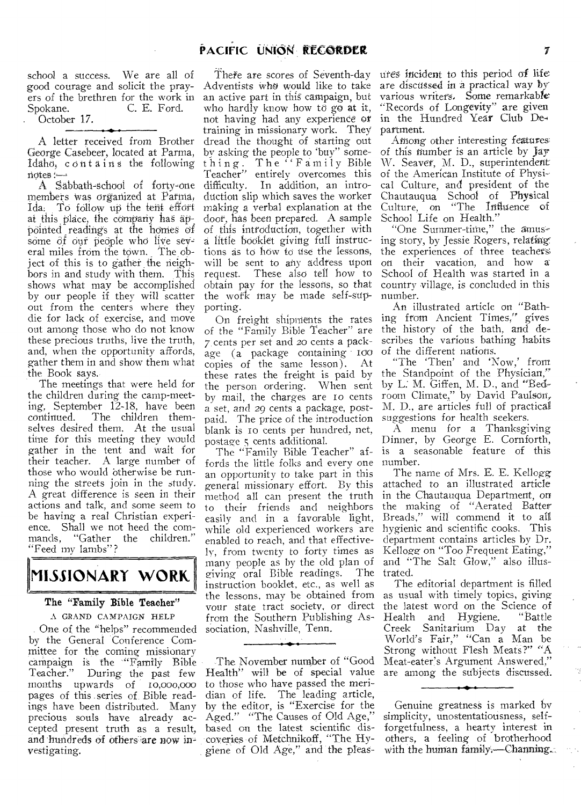school a success. We are all of good courage and solicit the prayers of the brethren for the work in<br>Spokane. C. E. Ford. C. E. Ford.

. October 17.

-.- A letter received from Brother George Casebeer, located at Parma, Idaho; contains the following  $n$ dtes $-$ 

A Sabbath-school of forty-one members was organized at Parma, Ida: To follow up the tent effort at this place, the company has  $a\theta$ pointed readings at the homes of some  $\partial f$  our people who live several miles from the town. The object of this is to gather the neighbors in and study with them. This shows what may be accomplished by our people if they will scatter out from the centers where they die for lack of exercise, and move out among those who do not know these precious truths, live the truth, and, when the opportunity affords, gather them in and show them what the Book says.

The meetings that were held for the children during the camp-meeting, September 12-18, have been continued. The children themselves desired them. At the usual time for this meeting they would gather in the tent and wait for their teacher. A large number of those who would otherwise be running the streets join in the study. A great difference is seen in their actions and talk, and some seem to be having a real Christian experience. Shall we not heed the com-<br>mands. "Gather the children." "Gather the children." "Feed my lambs"?

## **MISSIONARY WORK.**

## The "Family Bible Teacher"

A GRAND CAMPAIGN HELP One of the "helps" recommended by the General Conference Committee for the coming missionary campaign is the "Family Bible<br>Teacher." During the past few During the past few months upwards of io,000,000 pages of this series of. Bible readings have been distributed. Many precious souls have already accepted present truth as a result, and hundreds of others are now investigating.

## There are scores of Seventh-day Adventists Who would like to take an active part in this campaign, but who hardly know how to go at it, not having had any experience or training in missionary work. They dread the thought of starting out by asking the people to 'buy" something. The "Family Bible Teacher" entirely overcomes this difficulty. In addition, an introduction slip which saves the worker making a verbal explanation at the door, has been prepared. A sample of this introduction, together with a little booklet giving full instructions as to how to use the lessons, will be sent to any address upon request. These also tell how to obtain pay for the lessons, so that the work may be made self-supporting.

On freight shipments the rates of the "Family Bible Teacher" are 7. cents per set and 20 cents a package (a package containing 100<br>copies of the same lesson). At  $\overline{\text{copies}}$  of the same lesson). these rates the freight is paid by the person ordering. When sent by mail, the charges are 10 cents a set, and 29 cents a package, postpaid. The price of the introduction blank is 10 cents per hundred, net, postage s cents additional.

The "Family Bible Teacher" affords the little folks and every one an opportunity to take part in this general missionary effort. By this method all can present the truth to their friends and neighbors easily and in a favorable light, while old experienced workers are enabled to reach, and that effectively, from twenty to forty times as many people as by the old plan of<br>giving oral Rible readings. The giving oral Bible readings. instruction booklet, etc., as well as the lessons, may be obtained from your state tract society, or direct from the Southern Publishing Association, Nashville, Tenn.

The November number of "Good Health" will be of special value are among the subjects discussed. to those who have passed the meridian of life. The leading article, by the editor, is "Exercise for the Aged." "The Causes of Old Age," based on the latest scientific discoveries of Metchnikoff, "The Hygiene of Old Age," and the pleas-

ures incident to this period of life are discussed in a practical way by various writers. Some remarkable "Records of Longevity" are given in the Hundred Year Club De, partment.<br>Among other interesting features

of this number is an article by Jay W. Seaver, M. D., superintendent of the American Institute of Physical Culture, and president of the Chautauqua School of Physical Culture, on "The Influence of School Life on Health."

"One Summer-time." the amusing story, by Jessie Rogers, relating. the experiences of three teachers on their vacation, and how a School of Health was started in a country village, is concluded in this number.

An illustrated article on "Bathing from Ancient Times," gives the history of the bath, and describes the various bathing habits of the different nations.

"The 'Then' and 'Now,' from the Standpoint of the Physician," by L. M. Giffen, M. D., and "Bedroom Climate," by David Paulson, M. D., are articles full of practical suggestions for health seekers.

A menu for a Thanksgiving Dinner, by George E. Cornforth, is a seasonable feature of this number.

The name of Mrs. E. E. Kellogg attached to an illustrated article in the Chautauqua Department, on the making of "Aerated Batter Breads," will commend it to all hygienic and scientific cooks. This department contains articles by Dr. Kellogg on "Too Frequent Eating," and "The Salt Glow," also illustrated.

The editorial department is filled as usual with timely topics, giving the latest word on the Science of<br>Health and Hygiene. "Battle Health and Hygiene. Creek Sanitarium Day at the World's Fair," "Can a Man be Strong without Flesh Meats?" "A Meat-eater's Argument Answered,"

Genuine greatness is marked by simplicity, unostentatiousness, selfforgetfulness, a hearty interest in others, a feeling of brotherhood with the human family.—Channing...